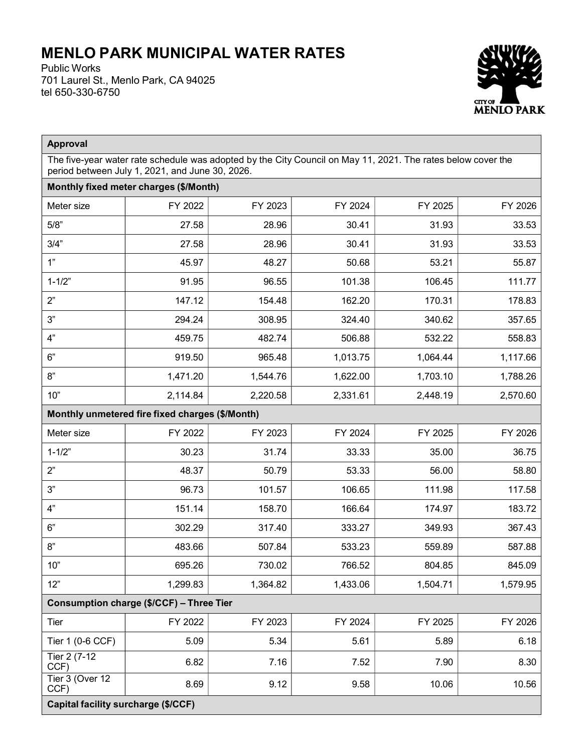## MENLO PARK MUNICIPAL WATER RATES

Public Works 701 Laurel St., Menlo Park, CA 94025 tel 650-330-6750



| <b>Approval</b>                                                                                                                                                 |          |          |          |          |          |  |  |  |  |
|-----------------------------------------------------------------------------------------------------------------------------------------------------------------|----------|----------|----------|----------|----------|--|--|--|--|
| The five-year water rate schedule was adopted by the City Council on May 11, 2021. The rates below cover the<br>period between July 1, 2021, and June 30, 2026. |          |          |          |          |          |  |  |  |  |
| Monthly fixed meter charges (\$/Month)                                                                                                                          |          |          |          |          |          |  |  |  |  |
| Meter size                                                                                                                                                      | FY 2022  | FY 2023  | FY 2024  | FY 2025  | FY 2026  |  |  |  |  |
| 5/8"                                                                                                                                                            | 27.58    | 28.96    | 30.41    | 31.93    | 33.53    |  |  |  |  |
| 3/4"                                                                                                                                                            | 27.58    | 28.96    | 30.41    | 31.93    | 33.53    |  |  |  |  |
| 1"                                                                                                                                                              | 45.97    | 48.27    | 50.68    | 53.21    | 55.87    |  |  |  |  |
| $1 - 1/2"$                                                                                                                                                      | 91.95    | 96.55    | 101.38   | 106.45   | 111.77   |  |  |  |  |
| 2"                                                                                                                                                              | 147.12   | 154.48   | 162.20   | 170.31   | 178.83   |  |  |  |  |
| 3"                                                                                                                                                              | 294.24   | 308.95   | 324.40   | 340.62   | 357.65   |  |  |  |  |
| 4"                                                                                                                                                              | 459.75   | 482.74   | 506.88   | 532.22   | 558.83   |  |  |  |  |
| 6"                                                                                                                                                              | 919.50   | 965.48   | 1,013.75 | 1,064.44 | 1,117.66 |  |  |  |  |
| 8"                                                                                                                                                              | 1,471.20 | 1,544.76 | 1,622.00 | 1,703.10 | 1,788.26 |  |  |  |  |
| 10"                                                                                                                                                             | 2,114.84 | 2,220.58 | 2,331.61 | 2,448.19 | 2,570.60 |  |  |  |  |
| Monthly unmetered fire fixed charges (\$/Month)                                                                                                                 |          |          |          |          |          |  |  |  |  |
| Meter size                                                                                                                                                      | FY 2022  | FY 2023  | FY 2024  | FY 2025  | FY 2026  |  |  |  |  |
| $1 - 1/2"$                                                                                                                                                      | 30.23    | 31.74    | 33.33    | 35.00    | 36.75    |  |  |  |  |
| 2"                                                                                                                                                              | 48.37    | 50.79    | 53.33    | 56.00    | 58.80    |  |  |  |  |
| 3"                                                                                                                                                              | 96.73    | 101.57   | 106.65   | 111.98   | 117.58   |  |  |  |  |
| 4"                                                                                                                                                              | 151.14   | 158.70   | 166.64   | 174.97   | 183.72   |  |  |  |  |
| 6"                                                                                                                                                              | 302.29   | 317.40   | 333.27   | 349.93   | 367.43   |  |  |  |  |
| 8"                                                                                                                                                              | 483.66   | 507.84   | 533.23   | 559.89   | 587.88   |  |  |  |  |
| 10"                                                                                                                                                             | 695.26   | 730.02   | 766.52   | 804.85   | 845.09   |  |  |  |  |
| 12"                                                                                                                                                             | 1,299.83 | 1,364.82 | 1,433.06 | 1,504.71 | 1,579.95 |  |  |  |  |
| Consumption charge (\$/CCF) - Three Tier                                                                                                                        |          |          |          |          |          |  |  |  |  |
| Tier                                                                                                                                                            | FY 2022  | FY 2023  | FY 2024  | FY 2025  | FY 2026  |  |  |  |  |
| Tier 1 (0-6 CCF)                                                                                                                                                | 5.09     | 5.34     | 5.61     | 5.89     | 6.18     |  |  |  |  |
| Tier 2 (7-12<br>CCF)                                                                                                                                            | 6.82     | 7.16     | 7.52     | 7.90     | 8.30     |  |  |  |  |
| Tier 3 (Over 12<br>CCF)                                                                                                                                         | 8.69     | 9.12     | 9.58     | 10.06    | 10.56    |  |  |  |  |
| Capital facility surcharge (\$/CCF)                                                                                                                             |          |          |          |          |          |  |  |  |  |